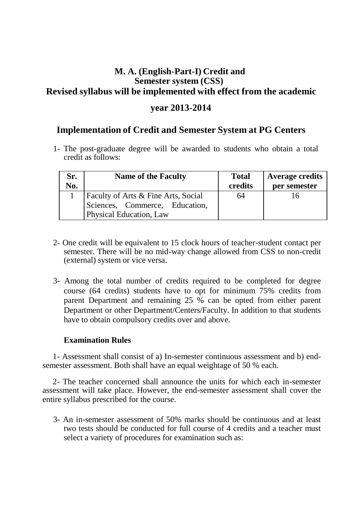## **M. A. (English-Part-I) Credit and Semester system (CSS) Revised syllabus will be implemented with effect from the academic**

### **year 2013-2014**

### **Implementation of Credit and Semester System at PG Centers**

1- The post-graduate degree will be awarded to students who obtain a total credit as follows:

| Sr.<br>No. | <b>Name of the Faculty</b>          | <b>Total</b><br>credits | <b>Average credits</b><br>per semester |
|------------|-------------------------------------|-------------------------|----------------------------------------|
|            | Faculty of Arts & Fine Arts, Social | 64                      |                                        |
|            | Sciences, Commerce, Education,      |                         |                                        |
|            | Physical Education, Law             |                         |                                        |

- 2- One credit will be equivalent to 15 clock hours of teacher-student contact per semester. There will be no mid-way change allowed from CSS to non-credit (external) system or vice versa.
- 3- Among the total number of credits required to be completed for degree course (64 credits) students have to opt for minimum 75% credits from parent Department and remaining 25 % can be opted from either parent Department or other Department/Centers/Faculty. In addition to that students have to obtain compulsory credits over and above.

#### **Examination Rules**

1- Assessment shall consist of a) In-semester continuous assessment and b) endsemester assessment. Both shall have an equal weightage of 50 % each.

2- The teacher concerned shall announce the units for which each in-semester assessment will take place. However, the end-semester assessment shall cover the entire syllabus prescribed for the course.

3- An in-semester assessment of 50% marks should be continuous and at least two tests should be conducted for full course of 4 credits and a teacher must select a variety of procedures for examination such as: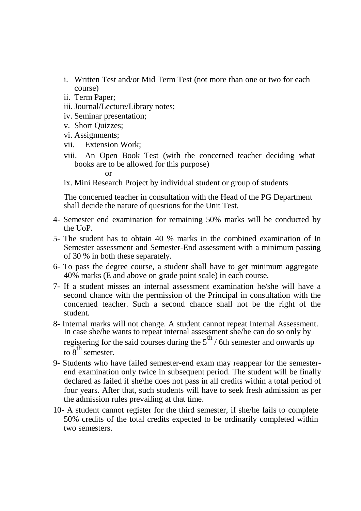- i. Written Test and/or Mid Term Test (not more than one or two for each course)
- ii. Term Paper;
- iii. Journal/Lecture/Library notes;
- iv. Seminar presentation;
- v. Short Quizzes;
- vi. Assignments;
- vii. Extension Work;
- viii. An Open Book Test (with the concerned teacher deciding what books are to be allowed for this purpose)

or

ix. Mini Research Project by individual student or group of students

The concerned teacher in consultation with the Head of the PG Department shall decide the nature of questions for the Unit Test.

- 4- Semester end examination for remaining 50% marks will be conducted by the UoP.
- 5- The student has to obtain 40 % marks in the combined examination of In Semester assessment and Semester-End assessment with a minimum passing of 30 % in both these separately.
- 6- To pass the degree course, a student shall have to get minimum aggregate 40% marks (E and above on grade point scale) in each course.
- 7- If a student misses an internal assessment examination he/she will have a second chance with the permission of the Principal in consultation with the concerned teacher. Such a second chance shall not be the right of the student.
- 8- Internal marks will not change. A student cannot repeat Internal Assessment. In case she/he wants to repeat internal assessment she/he can do so only by registering for the said courses during the  $5<sup>th</sup>$  / 6th semester and onwards up to  $8^{\text{th}}$  semester.
- 9- Students who have failed semester-end exam may reappear for the semesterend examination only twice in subsequent period. The student will be finally declared as failed if she\he does not pass in all credits within a total period of four years. After that, such students will have to seek fresh admission as per the admission rules prevailing at that time.
- 10- A student cannot register for the third semester, if she/he fails to complete 50% credits of the total credits expected to be ordinarily completed within two semesters.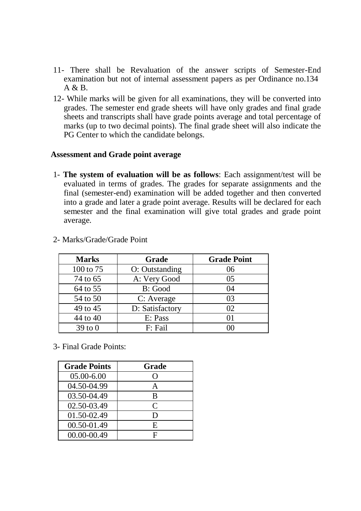- 11- There shall be Revaluation of the answer scripts of Semester-End examination but not of internal assessment papers as per Ordinance no.134 A & B.
- 12- While marks will be given for all examinations, they will be converted into grades. The semester end grade sheets will have only grades and final grade sheets and transcripts shall have grade points average and total percentage of marks (up to two decimal points). The final grade sheet will also indicate the PG Center to which the candidate belongs.

#### **Assessment and Grade point average**

1- **The system of evaluation will be as follows**: Each assignment/test will be evaluated in terms of grades. The grades for separate assignments and the final (semester-end) examination will be added together and then converted into a grade and later a grade point average. Results will be declared for each semester and the final examination will give total grades and grade point average.

| <b>Marks</b> | Grade           | <b>Grade Point</b> |
|--------------|-----------------|--------------------|
| 100 to 75    | O: Outstanding  | 06                 |
| 74 to 65     | A: Very Good    | 0 <sub>5</sub>     |
| 64 to 55     | B: Good         | 04                 |
| 54 to 50     | C: Average      | 03                 |
| 49 to 45     | D: Satisfactory | 02                 |
| 44 to 40     | E: Pass         | $\Omega$           |
| $39$ to $0$  | F: Fail         |                    |

2- Marks/Grade/Grade Point

3- Final Grade Points:

| <b>Grade Points</b> | Grade            |
|---------------------|------------------|
| $05.00 - 6.00$      | $\left( \right)$ |
| 04.50-04.99         | $\mathsf{A}$     |
| 03.50-04.49         | B                |
| 02.50-03.49         | $\mathsf{C}$     |
| 01.50-02.49         | D                |
| 00.50-01.49         | E                |
| 00.00-00.49         | F                |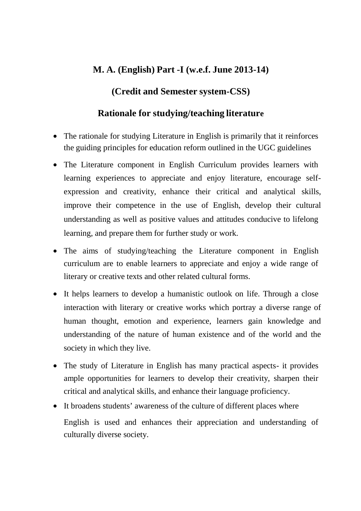## **M. A. (English) Part -I (w.e.f. June 2013-14)**

### **(Credit and Semester system-CSS)**

### **Rationale for studying/teaching literature**

- The rationale for studying Literature in English is primarily that it reinforces the guiding principles for education reform outlined in the UGC guidelines
- The Literature component in English Curriculum provides learners with learning experiences to appreciate and enjoy literature, encourage selfexpression and creativity, enhance their critical and analytical skills, improve their competence in the use of English, develop their cultural understanding as well as positive values and attitudes conducive to lifelong learning, and prepare them for further study or work.
- The aims of studying/teaching the Literature component in English curriculum are to enable learners to appreciate and enjoy a wide range of literary or creative texts and other related cultural forms.
- It helps learners to develop a humanistic outlook on life. Through a close interaction with literary or creative works which portray a diverse range of human thought, emotion and experience, learners gain knowledge and understanding of the nature of human existence and of the world and the society in which they live.
- The study of Literature in English has many practical aspects- it provides ample opportunities for learners to develop their creativity, sharpen their critical and analytical skills, and enhance their language proficiency.
- It broadens students' awareness of the culture of different places where English is used and enhances their appreciation and understanding of culturally diverse society.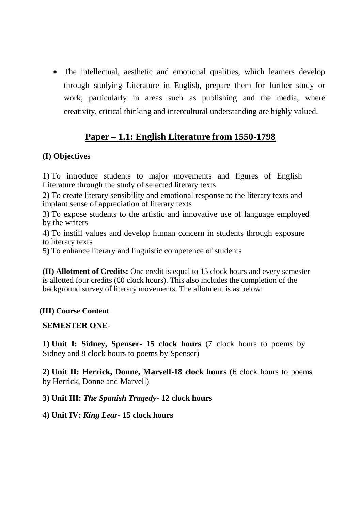• The intellectual, aesthetic and emotional qualities, which learners develop through studying Literature in English, prepare them for further study or work, particularly in areas such as publishing and the media, where creativity, critical thinking and intercultural understanding are highly valued.

# **Paper – 1.1: English Literature from 1550-1798**

### **(I) Objectives**

1) To introduce students to major movements and figures of English Literature through the study of selected literary texts

2) To create literary sensibility and emotional response to the literary texts and implant sense of appreciation of literary texts

3) To expose students to the artistic and innovative use of language employed by the writers

4) To instill values and develop human concern in students through exposure to literary texts

5) To enhance literary and linguistic competence of students

**(II) Allotment of Credits:** One credit is equal to 15 clock hours and every semester is allotted four credits (60 clock hours). This also includes the completion of the background survey of literary movements. The allotment is as below:

### **(III) Course Content**

### **SEMESTER ONE**-

**1) Unit I: Sidney, Spenser- 15 clock hours** (7 clock hours to poems by Sidney and 8 clock hours to poems by Spenser)

**2) Unit II: Herrick, Donne, Marvell-18 clock hours** (6 clock hours to poems by Herrick, Donne and Marvell)

**3) Unit III:** *The Spanish Tragedy***- 12 clock hours**

**4) Unit IV:** *King Lear***- 15 clock hours**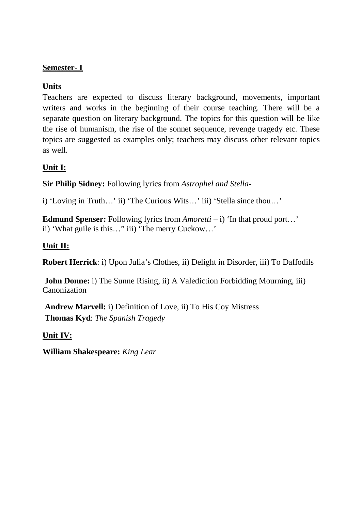### **Semester- I**

### **Units**

Teachers are expected to discuss literary background, movements, important writers and works in the beginning of their course teaching. There will be a separate question on literary background. The topics for this question will be like the rise of humanism, the rise of the sonnet sequence, revenge tragedy etc. These topics are suggested as examples only; teachers may discuss other relevant topics as well.

## **Unit I:**

**Sir Philip Sidney:** Following lyrics from *Astrophel and Stella-*

i) 'Loving in Truth…' ii) 'The Curious Wits…' iii) 'Stella since thou…'

**Edmund Spenser:** Following lyrics from *Amoretti* – i) 'In that proud port...' ii) 'What guile is this…" iii) 'The merry Cuckow…'

### **Unit II:**

**Robert Herrick**: i) Upon Julia's Clothes, ii) Delight in Disorder, iii) To Daffodils

**John Donne: i**) The Sunne Rising, **ii**) A Valediction Forbidding Mourning, **iii**) Canonization

**Andrew Marvell:** i) Definition of Love, ii) To His Coy Mistress **Thomas Kyd**: *The Spanish Tragedy*

**Unit IV:**

**William Shakespeare:** *King Lear*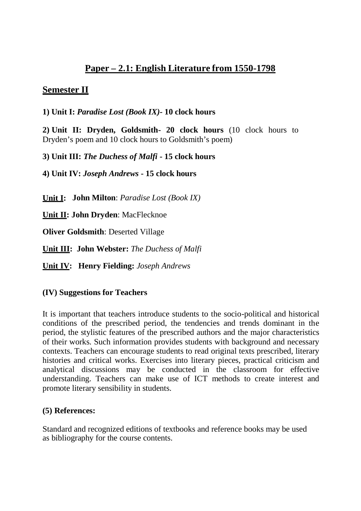# **Paper – 2.1: English Literature from 1550-1798**

## **Semester II**

**1) Unit I:** *Paradise Lost (Book IX)-* **10 clock hours**

**2) Unit II: Dryden, Goldsmith- 20 clock hours** (10 clock hours to Dryden's poem and 10 clock hours to Goldsmith's poem)

**3) Unit III:** *The Duchess of Malfi* **- 15 clock hours**

**4) Unit IV:** *Joseph Andrews* **- 15 clock hours**

**Unit I: John Milton**: *Paradise Lost (Book IX)*

**Unit II: John Dryden**: MacFlecknoe

**Oliver Goldsmith**: Deserted Village

**Unit III: John Webster:** *The Duchess of Malfi*

**Unit IV: Henry Fielding:** *Joseph Andrews* 

### **(IV) Suggestions for Teachers**

It is important that teachers introduce students to the socio-political and historical conditions of the prescribed period, the tendencies and trends dominant in the period, the stylistic features of the prescribed authors and the major characteristics of their works. Such information provides students with background and necessary contexts. Teachers can encourage students to read original texts prescribed, literary histories and critical works. Exercises into literary pieces, practical criticism and analytical discussions may be conducted in the classroom for effective understanding. Teachers can make use of ICT methods to create interest and promote literary sensibility in students.

### **(5) References:**

Standard and recognized editions of textbooks and reference books may be used as bibliography for the course contents.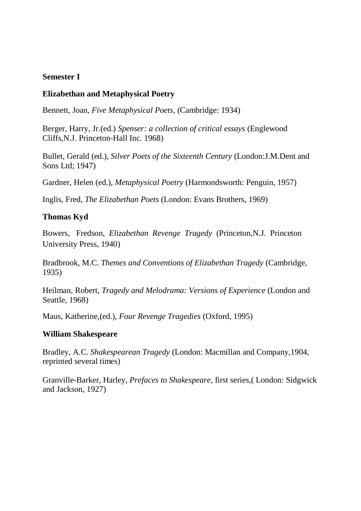#### **Semester I**

#### **Elizabethan and Metaphysical Poetry**

Bennett, Joan, *Five Metaphysical Poets,* (Cambridge: 1934)

Berger, Harry, Jr.(ed.) *Spenser: a collection of critical essays* (Englewood Cliffs,N.J. Princeton-Hall Inc. 1968)

Bullet, Gerald (ed.), *Silver Poets of the Sixteenth Century* (London:J.M.Dent and Sons Ltd; 1947)

Gardner, Helen (ed.), *Metaphysical Poetry* (Harmondsworth: Penguin, 1957)

Inglis, Fred, *The Elizabethan Poets* (London: Evans Brothers, 1969)

#### **Thomas Kyd**

Bowers, Fredson, *Elizabethan Revenge Tragedy* (Princeton,N.J. Princeton University Press, 1940)

Bradbrook, M.C. *Themes and Conventions of Elizabethan Tragedy* (Cambridge, 1935)

Heilman, Robert, *Tragedy and Melodrama: Versions of Experience* (London and Seattle, 1968)

Maus, Katherine,(ed.), *Four Revenge Tragedies* (Oxford, 1995)

#### **William Shakespeare**

Bradley, A.C. *Shakespearean Tragedy* (London: Macmillan and Company,1904, reprinted several times)

Granville-Barker, Harley, *Prefaces to Shakespeare*, first series,( London: Sidgwick and Jackson, 1927)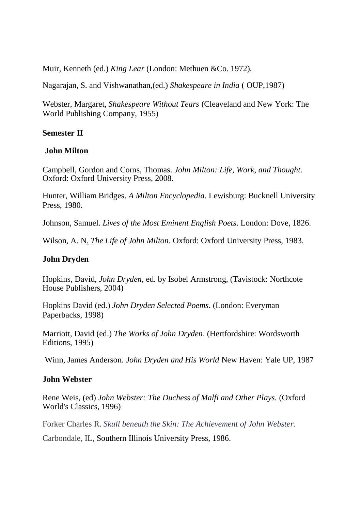Muir, Kenneth (ed.) *King Lear* (London: Methuen &Co. 1972).

Nagarajan, S. and Vishwanathan,(ed.) *Shakespeare in India* ( OUP,1987)

Webster, Margaret, *Shakespeare Without Tears* (Cleaveland and New York: The World Publishing Company, 1955)

#### **Semester II**

#### **John Milton**

Campbell, Gordon and Corns, Thomas. *John Milton: Life, Work, and Thought*. Oxford: Oxford University Press, 2008.

Hunter, William Bridges. *A Milton Encyclopedia*. Lewisburg: Bucknell University Press, 1980.

Johnson, Samuel. *Lives of the Most Eminent English Poets*. London: Dove, 1826.

Wilson, A. N. *The Life of John Milton*. Oxford: Oxford University Press, 1983.

#### **John Dryden**

Hopkins, David, *John Dryden*, ed. by Isobel Armstrong, (Tavistock: Northcote House Publishers, 2004)

Hopkins David (ed.) *John Dryden Selected Poems*. (London: Everyman Paperbacks, 1998)

Marriott, David (ed.) *The Works of John Dryden*. (Hertfordshire: Wordsworth Editions, 1995)

Winn, James Anderson. *John Dryden and His World* New Haven: Yale UP, 1987

#### **John Webster**

Rene Weis, (ed) *John Webster: The Duchess of Malfi and Other Plays.* (Oxford World's Classics, 1996)

Forker Charles R. *Skull beneath the Skin: The Achievement of John Webster.*

Carbondale, IL, Southern Illinois University Press, 1986.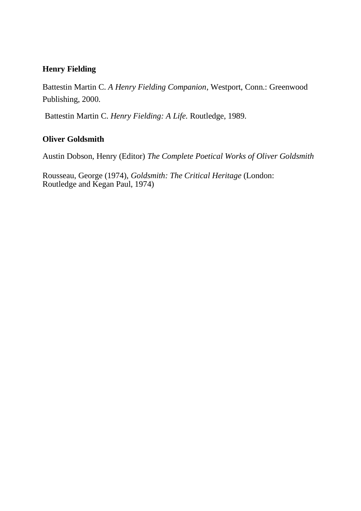### **Henry Fielding**

Battestin Martin C. *A Henry Fielding Companion*, Westport, Conn.: Greenwood Publishing, 2000.

Battestin Martin C. *Henry Fielding: A Life.* Routledge, 1989.

### **Oliver Goldsmith**

Austin Dobson, Henry (Editor) *The Complete Poetical Works of Oliver Goldsmith*

Rousseau, George (1974), *Goldsmith: The Critical Heritage* (London: Routledge and Kegan Paul, 1974)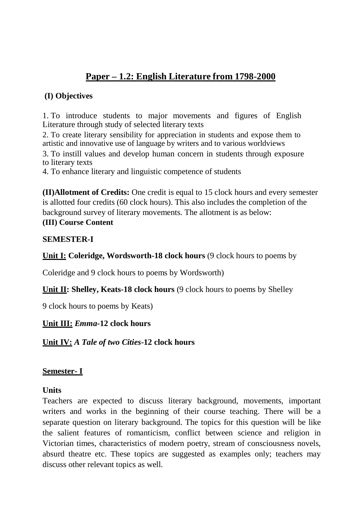# **Paper – 1.2: English Literature from 1798-2000**

### **(I) Objectives**

1. To introduce students to major movements and figures of English Literature through study of selected literary texts

2. To create literary sensibility for appreciation in students and expose them to artistic and innovative use of language by writers and to various worldviews

3. To instill values and develop human concern in students through exposure to literary texts

4. To enhance literary and linguistic competence of students

**(II)Allotment of Credits:** One credit is equal to 15 clock hours and every semester is allotted four credits (60 clock hours). This also includes the completion of the background survey of literary movements. The allotment is as below:

## **(III) Course Content**

#### **SEMESTER-I**

**Unit I: Coleridge, Wordsworth-18 clock hours** (9 clock hours to poems by

Coleridge and 9 clock hours to poems by Wordsworth)

**Unit II: Shelley, Keats-18 clock hours (9 clock hours to poems by Shelley** 

9 clock hours to poems by Keats)

**Unit III:** *Emma-***12 clock hours**

**Unit IV:** *A Tale of two Cities***-12 clock hours** 

### **Semester- I**

#### **Units**

Teachers are expected to discuss literary background, movements, important writers and works in the beginning of their course teaching. There will be a separate question on literary background. The topics for this question will be like the salient features of romanticism, conflict between science and religion in Victorian times, characteristics of modern poetry, stream of consciousness novels, absurd theatre etc. These topics are suggested as examples only; teachers may discuss other relevant topics as well.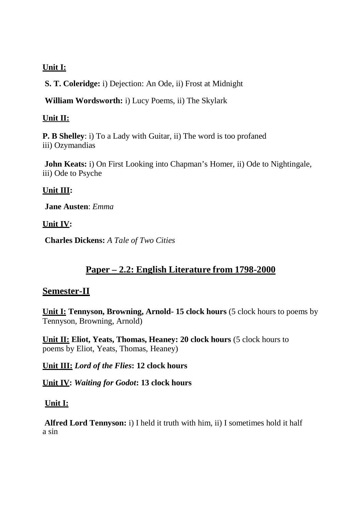### **Unit I:**

**S. T. Coleridge:** i) Dejection: An Ode, ii) Frost at Midnight

**William Wordsworth:** i) Lucy Poems, ii) The Skylark

#### **Unit II:**

**P. B Shelley**: i) To a Lady with Guitar, ii) The word is too profaned iii) Ozymandias

**John Keats:** *i*) On First Looking into Chapman's Homer, *ii*) Ode to Nightingale, iii) Ode to Psyche

### **Unit III:**

**Jane Austen**: *Emma*

### **Unit IV:**

**Charles Dickens:** *A Tale of Two Cities*

## **Paper – 2.2: English Literature from 1798-2000**

### **Semester-II**

**Unit I: Tennyson, Browning, Arnold- 15 clock hours** (5 clock hours to poems by Tennyson, Browning, Arnold)

**Unit II: Eliot, Yeats, Thomas, Heaney: 20 clock hours** (5 clock hours to poems by Eliot, Yeats, Thomas, Heaney)

**Unit III:** *Lord of the Flies***: 12 clock hours**

**Unit IV:** *Waiting for Godot***: 13 clock hours**

### **Unit I:**

**Alfred Lord Tennyson:** i) I held it truth with him, ii) I sometimes hold it half a sin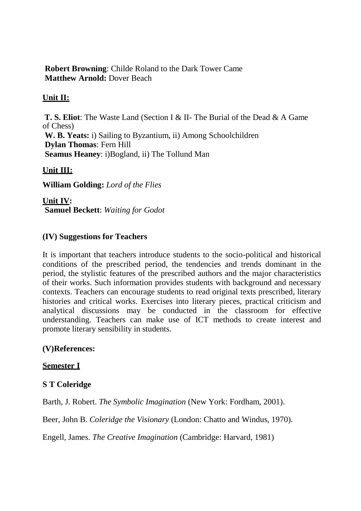**Robert Browning**: Childe Roland to the Dark Tower Came **Matthew Arnold:** Dover Beach

### **Unit II:**

**T. S. Eliot**: The Waste Land (Section I & II- The Burial of the Dead & A Game of Chess) **W. B. Yeats:** i) Sailing to Byzantium, ii) Among Schoolchildren **Dylan Thomas**: Fern Hill **Seamus Heaney**: i)Bogland, ii) The Tollund Man

### **Unit III:**

**William Golding:** *Lord of the Flies*

**Unit IV: Samuel Beckett**: *Waiting for Godot*

### **(IV) Suggestions for Teachers**

It is important that teachers introduce students to the socio-political and historical conditions of the prescribed period, the tendencies and trends dominant in the period, the stylistic features of the prescribed authors and the major characteristics of their works. Such information provides students with background and necessary contexts. Teachers can encourage students to read original texts prescribed, literary histories and critical works. Exercises into literary pieces, practical criticism and analytical discussions may be conducted in the classroom for effective understanding. Teachers can make use of ICT methods to create interest and promote literary sensibility in students.

### **(V)References:**

#### **Semester I**

### **S T Coleridge**

Barth, J. Robert. *The Symbolic Imagination* (New York: Fordham, 2001).

Beer, John B. *Coleridge the Visionary* (London: Chatto and Windus, 1970).

Engell, James. *The Creative Imagination* (Cambridge: Harvard, 1981)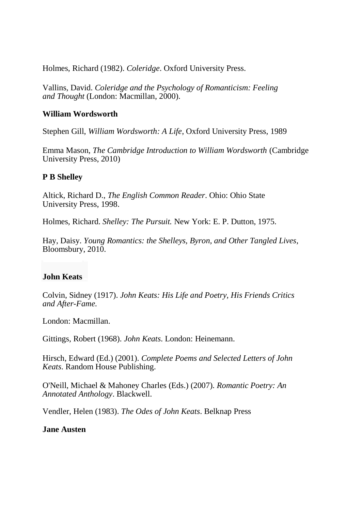Holmes, Richard (1982). *Coleridge*. Oxford University Press.

Vallins, David. *Coleridge and the Psychology of Romanticism: Feeling and Thought* (London: Macmillan, 2000).

#### **William Wordsworth**

Stephen Gill, *William Wordsworth: A Life*, Oxford University Press, 1989

Emma Mason, *The Cambridge Introduction to William Wordsworth* (Cambridge University Press, 2010)

### **P B Shelley**

Altick, Richard D., *The English Common Reader*. Ohio: Ohio State University Press, 1998.

Holmes, Richard. *Shelley: The Pursuit.* New York: E. P. Dutton, 1975.

Hay, Daisy. *Young Romantics: the Shelleys, Byron, and Other Tangled Lives*, Bloomsbury, 2010.

### **John Keats**

Colvin, Sidney (1917). *John Keats: His Life and Poetry, His Friends Critics and After-Fame*.

London: Macmillan.

Gittings, Robert (1968). *John Keats*. London: Heinemann.

Hirsch, Edward (Ed.) (2001). *Complete Poems and Selected Letters of John Keats*. Random House Publishing.

O'Neill, Michael & Mahoney Charles (Eds.) (2007). *Romantic Poetry: An Annotated Anthology*. Blackwell.

Vendler, Helen (1983). *The Odes of John Keats*. Belknap Press

#### **Jane Austen**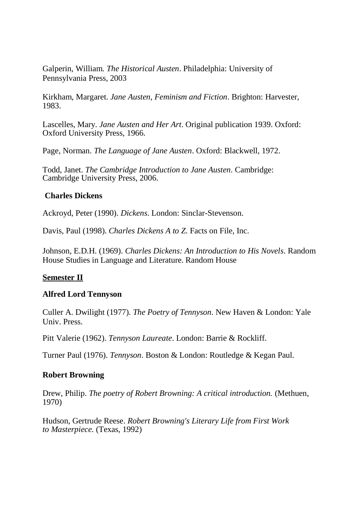Galperin, William. *The Historical Austen*. Philadelphia: University of Pennsylvania Press, 2003

Kirkham, Margaret. *Jane Austen, Feminism and Fiction*. Brighton: Harvester, 1983.

Lascelles, Mary. *Jane Austen and Her Art*. Original publication 1939. Oxford: Oxford University Press, 1966.

Page, Norman. *The Language of Jane Austen*. Oxford: Blackwell, 1972.

Todd, Janet. *The Cambridge Introduction to Jane Austen*. Cambridge: Cambridge University Press, 2006.

#### **Charles Dickens**

Ackroyd, Peter (1990). *Dickens*. London: Sinclar-Stevenson.

Davis, Paul (1998). *Charles Dickens A to Z*. Facts on File, Inc.

Johnson, E.D.H. (1969). *Charles Dickens: An Introduction to His Novels*. Random House Studies in Language and Literature. Random House

### **Semester II**

### **Alfred Lord Tennyson**

Culler A. Dwilight (1977). *The Poetry of Tennyson*. New Haven & London: Yale Univ. Press.

Pitt Valerie (1962). *Tennyson Laureate*. London: Barrie & Rockliff.

Turner Paul (1976). *Tennyson*. Boston & London: Routledge & Kegan Paul.

### **Robert Browning**

Drew, Philip. *The poetry of Robert Browning: A critical introduction.* (Methuen, 1970)

Hudson, Gertrude Reese. *Robert Browning's Literary Life from First Work to Masterpiece.* (Texas, 1992)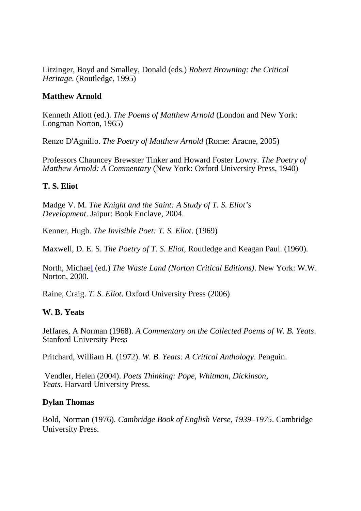Litzinger, Boyd and Smalley, Donald (eds.) *Robert Browning: the Critical Heritage*. (Routledge, 1995)

#### **Matthew Arnold**

Kenneth Allott (ed.). *The Poems of Matthew Arnold* (London and New York: Longman Norton, 1965)

Renzo D'Agnillo. *The Poetry of Matthew Arnold* (Rome: Aracne, 2005)

Professors Chauncey Brewster Tinker and Howard Foster Lowry. *The Poetry of Matthew Arnold: A Commentary* (New York: Oxford University Press, 1940)

### **T. S. Eliot**

Madge V. M. *The Knight and the Saint: A Study of T. S. Eliot's Development*. Jaipur: Book Enclave, 2004.

Kenner, Hugh. *The Invisible Poet: T. S. Eliot*. (1969)

Maxwell, D. E. S. *The Poetry of T. S. Eliot*, Routledge and Keagan Paul. (1960).

North, Michael (ed.) *The Waste Land (Norton Critical Editions)*. New York: W.W. Norton, 2000.

Raine, Craig. *T. S. Eliot*. Oxford University Press (2006)

### **W. B. Yeats**

Jeffares, A Norman (1968). *A Commentary on the Collected Poems of W. B. Yeats*. Stanford University Press

Pritchard, William H. (1972). *W. B. Yeats: A Critical Anthology*. Penguin.

Vendler, Helen (2004). *Poets Thinking: Pope, Whitman, Dickinson, Yeats*. Harvard University Press.

### **Dylan Thomas**

Bold, Norman (1976). *Cambridge Book of English Verse, 1939–1975*. Cambridge University Press.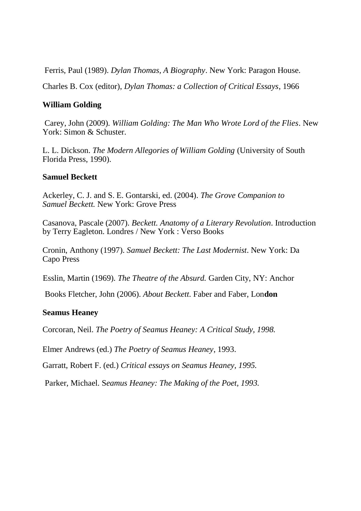Ferris, Paul (1989). *Dylan Thomas, A Biography*. New York: Paragon House.

Charles B. Cox (editor), *Dylan Thomas: a Collection of Critical Essays*, 1966

#### **William Golding**

Carey, John (2009). *William Golding: The Man Who Wrote Lord of the Flies*. New York: Simon & Schuster.

L. L. Dickson. *The Modern Allegories of William Golding* (University of South Florida Press, 1990).

#### **Samuel Beckett**

Ackerley, C. J. and S. E. Gontarski, ed. (2004). *The Grove Companion to Samuel Beckett.* New York: Grove Press

Casanova, Pascale (2007). *Beckett. Anatomy of a Literary Revolution*. Introduction by Terry Eagleton. Londres / New York : Verso Books

Cronin, Anthony (1997). *Samuel Beckett: The Last Modernist*. New York: Da Capo Press

Esslin, Martin (1969). *The Theatre of the Absurd.* Garden City, NY: Anchor

Books Fletcher, John (2006). *About Beckett*. Faber and Faber, Lon**don**

#### **Seamus Heaney**

Corcoran, Neil. *The Poetry of Seamus Heaney: A Critical Study, 1998.*

Elmer Andrews (ed.) *The Poetry of Seamus Heaney*, 1993.

Garratt, Robert F. (ed.) *Critical essays on Seamus Heaney, 1995.*

Parker, Michael. S*eamus Heaney: The Making of the Poet, 1993.*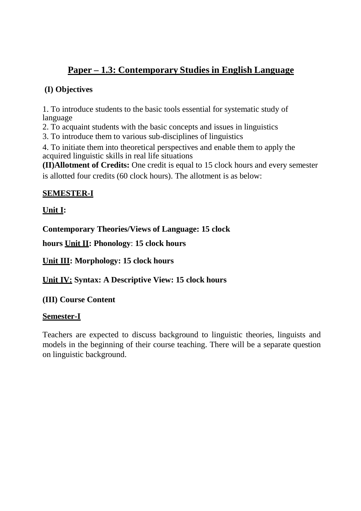# **Paper – 1.3: Contemporary Studies in English Language**

### **(I) Objectives**

1. To introduce students to the basic tools essential for systematic study of language

2. To acquaint students with the basic concepts and issues in linguistics

3. To introduce them to various sub-disciplines of linguistics

4. To initiate them into theoretical perspectives and enable them to apply the acquired linguistic skills in real life situations

**(II)Allotment of Credits:** One credit is equal to 15 clock hours and every semester is allotted four credits (60 clock hours). The allotment is as below:

## **SEMESTER-I**

## **Unit I:**

**Contemporary Theories/Views of Language: 15 clock** 

**hours Unit II: Phonology**: **15 clock hours**

**Unit III: Morphology: 15 clock hours**

**Unit IV: Syntax: A Descriptive View: 15 clock hours**

### **(III) Course Content**

### **Semester-I**

Teachers are expected to discuss background to linguistic theories, linguists and models in the beginning of their course teaching. There will be a separate question on linguistic background.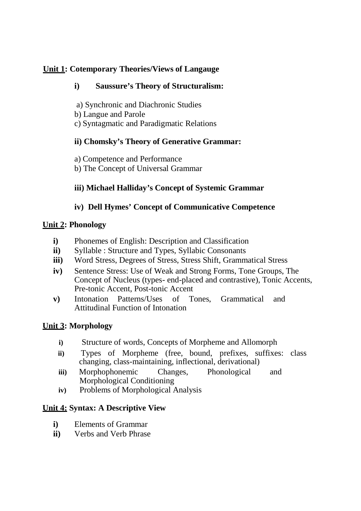### **Unit 1: Cotemporary Theories/Views of Langauge**

### **i) Saussure's Theory of Structuralism:**

- a) Synchronic and Diachronic Studies
- b) Langue and Parole
- c) Syntagmatic and Paradigmatic Relations

## **ii) Chomsky's Theory of Generative Grammar:**

- a) Competence and Performance
- b) The Concept of Universal Grammar

## **iii) Michael Halliday's Concept of Systemic Grammar**

## **iv) Dell Hymes' Concept of Communicative Competence**

### **Unit 2: Phonology**

- **i)** Phonemes of English: Description and Classification
- **ii)** Syllable : Structure and Types, Syllabic Consonants
- **iii)** Word Stress, Degrees of Stress, Stress Shift, Grammatical Stress
- **iv)** Sentence Stress: Use of Weak and Strong Forms, Tone Groups, The Concept of Nucleus (types- end-placed and contrastive), Tonic Accents, Pre-tonic Accent, Post-tonic Accent
- **v)** Intonation Patterns/Uses of Tones, Grammatical and Attitudinal Function of Intonation

### **Unit 3: Morphology**

- **i)** Structure of words, Concepts of Morpheme and Allomorph
- **ii)** Types of Morpheme (free, bound, prefixes, suffixes: class changing, class-maintaining, inflectional, derivational)
- **iii)** Morphophonemic Changes, Phonological and Morphological Conditioning
- **iv)** Problems of Morphological Analysis

### **Unit 4: Syntax: A Descriptive View**

- **i)** Elements of Grammar
- **ii)** Verbs and Verb Phrase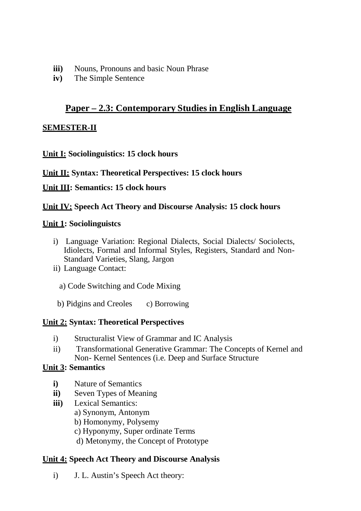- **iii)** Nouns, Pronouns and basic Noun Phrase
- **iv)** The Simple Sentence

## **Paper – 2.3: Contemporary Studies in English Language**

#### **SEMESTER-II**

**Unit I: Sociolinguistics: 15 clock hours**

**Unit II: Syntax: Theoretical Perspectives: 15 clock hours**

**Unit III: Semantics: 15 clock hours**

#### **Unit IV: Speech Act Theory and Discourse Analysis: 15 clock hours**

#### **Unit 1: Sociolinguistcs**

- i) Language Variation: Regional Dialects, Social Dialects/ Sociolects, Idiolects, Formal and Informal Styles, Registers, Standard and Non-Standard Varieties, Slang, Jargon
- ii) Language Contact:
	- a) Code Switching and Code Mixing
	- b) Pidgins and Creoles c) Borrowing

### **Unit 2: Syntax: Theoretical Perspectives**

- i) Structuralist View of Grammar and IC Analysis
- ii) Transformational Generative Grammar: The Concepts of Kernel and Non- Kernel Sentences (i.e. Deep and Surface Structure

### **Unit 3: Semantics**

- **i)** Nature of Semantics
- **ii)** Seven Types of Meaning
- **iii)** Lexical Semantics:
	- a) Synonym, Antonym
	- b) Homonymy, Polysemy
	- c) Hyponymy, Super ordinate Terms
	- d) Metonymy, the Concept of Prototype

### **Unit 4: Speech Act Theory and Discourse Analysis**

i) J. L. Austin's Speech Act theory: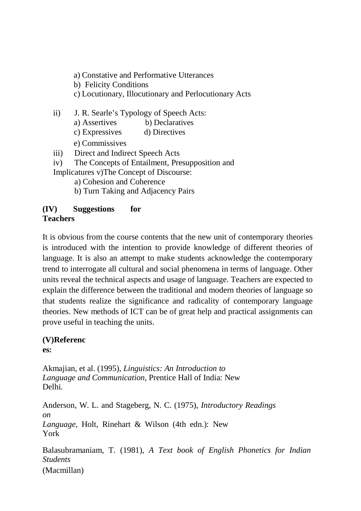a) Constative and Performative Utterances

b) Felicity Conditions

c) Locutionary, Illocutionary and Perlocutionary Acts

ii) J. R. Searle's Typology of Speech Acts:

- a) Assertives b) Declaratives
- c) Expressives d) Directives
- e) Commissives
- iii) Direct and Indirect Speech Acts
- iv) The Concepts of Entailment, Presupposition and Implicatures v) The Concept of Discourse:
	- a) Cohesion and Coherence
	- b) Turn Taking and Adjacency Pairs

### **(IV) Suggestions for Teachers**

It is obvious from the course contents that the new unit of contemporary theories is introduced with the intention to provide knowledge of different theories of language. It is also an attempt to make students acknowledge the contemporary trend to interrogate all cultural and social phenomena in terms of language. Other units reveal the technical aspects and usage of language. Teachers are expected to explain the difference between the traditional and modern theories of language so that students realize the significance and radicality of contemporary language theories. New methods of ICT can be of great help and practical assignments can prove useful in teaching the units.

## **(V)Referenc**

**es:**

Akmajian, et al. (1995), *Linguistics: An Introduction to Language and Communication*, Prentice Hall of India: New Delhi.

Anderson, W. L. and Stageberg, N. C. (1975), *Introductory Readings on Language*, Holt, Rinehart & Wilson (4th edn.): New York

Balasubramaniam, T. (1981), *A Text book of English Phonetics for Indian Students* (Macmillan)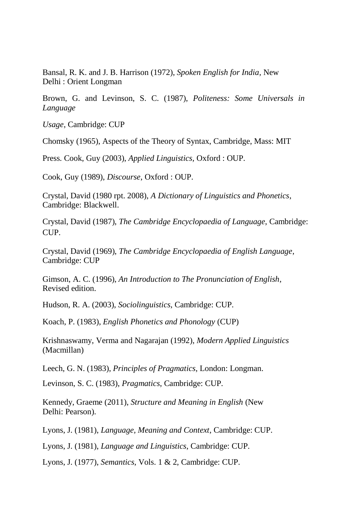Bansal, R. K. and J. B. Harrison (1972), *Spoken English for India,* New Delhi : Orient Longman

Brown, G. and Levinson, S. C. (1987), *Politeness: Some Universals in Language*

*Usage*, Cambridge: CUP

Chomsky (1965), Aspects of the Theory of Syntax, Cambridge, Mass: MIT

Press. Cook, Guy (2003), *Applied Linguistics,* Oxford : OUP.

Cook, Guy (1989), *Discourse*, Oxford : OUP.

Crystal, David (1980 rpt. 2008), *A Dictionary of Linguistics and Phonetics*, Cambridge: Blackwell.

Crystal, David (1987), *The Cambridge Encyclopaedia of Language*, Cambridge: CUP.

Crystal, David (1969), *The Cambridge Encyclopaedia of English Language*, Cambridge: CUP

Gimson, A. C. (1996), *An Introduction to The Pronunciation of English*, Revised edition.

Hudson, R. A. (2003), *Sociolinguistics*, Cambridge: CUP.

Koach, P. (1983), *English Phonetics and Phonology* (CUP)

Krishnaswamy, Verma and Nagarajan (1992), *Modern Applied Linguistics* (Macmillan)

Leech, G. N. (1983), *Principles of Pragmatics*, London: Longman.

Levinson, S. C. (1983), *Pragmatics*, Cambridge: CUP.

Kennedy, Graeme (2011), *Structure and Meaning in English* (New Delhi: Pearson).

Lyons, J. (1981), *Language, Meaning and Context*, Cambridge: CUP.

Lyons, J. (1981), *Language and Linguistics*, Cambridge: CUP.

Lyons, J. (1977), *Semantics*, Vols. 1 & 2, Cambridge: CUP.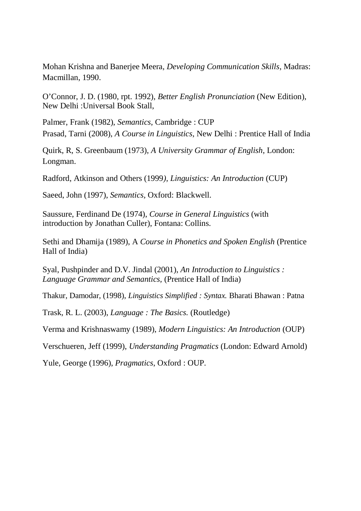Mohan Krishna and Banerjee Meera, *Developing Communication Skills*, Madras: Macmillan, 1990.

O'Connor, J. D. (1980, rpt. 1992), *Better English Pronunciation* (New Edition), New Delhi :Universal Book Stall,

Palmer, Frank (1982), *Semantics*, Cambridge : CUP Prasad, Tarni (2008), *A Course in Linguistics*, New Delhi : Prentice Hall of India

Quirk, R, S. Greenbaum (1973), *A University Grammar of English*, London: Longman.

Radford, Atkinson and Others (1999*), Linguistics: An Introduction* (CUP)

Saeed, John (1997), *Semantics,* Oxford: Blackwell.

Saussure, Ferdinand De (1974), *Course in General Linguistics* (with introduction by Jonathan Culler), Fontana: Collins.

Sethi and Dhamija (1989), A *Course in Phonetics and Spoken English* (Prentice Hall of India)

Syal, Pushpinder and D.V. Jindal (2001), *An Introduction to Linguistics : Language Grammar and Semantics,* (Prentice Hall of India)

Thakur, Damodar, (1998), *Linguistics Simplified : Syntax.* Bharati Bhawan : Patna

Trask, R. L. (2003), *Language : The Basics.* (Routledge)

Verma and Krishnaswamy (1989), *Modern Linguistics: An Introduction* (OUP)

Verschueren, Jeff (1999), *Understanding Pragmatics* (London: Edward Arnold)

Yule, George (1996), *Pragmatics*, Oxford : OUP.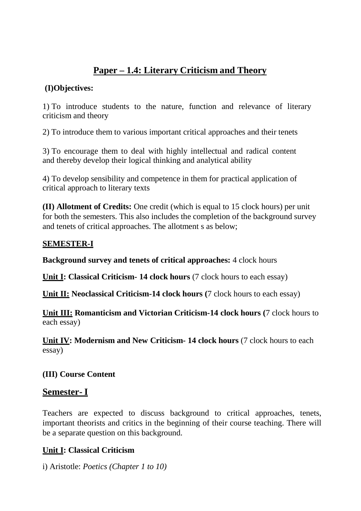# **Paper – 1.4: Literary Criticism and Theory**

### **(I)Objectives:**

1) To introduce students to the nature, function and relevance of literary criticism and theory

2) To introduce them to various important critical approaches and their tenets

3) To encourage them to deal with highly intellectual and radical content and thereby develop their logical thinking and analytical ability

4) To develop sensibility and competence in them for practical application of critical approach to literary texts

**(II) Allotment of Credits:** One credit (which is equal to 15 clock hours) per unit for both the semesters. This also includes the completion of the background survey and tenets of critical approaches. The allotment s as below;

### **SEMESTER-I**

**Background survey and tenets of critical approaches:** 4 clock hours

**Unit I: Classical Criticism- 14 clock hours** (7 clock hours to each essay)

**Unit II: Neoclassical Criticism-14 clock hours (7 clock hours to each essay)** 

**Unit III: Romanticism and Victorian Criticism-14 clock hours (**7 clock hours to each essay)

**Unit IV: Modernism and New Criticism- 14 clock hours** (7 clock hours to each essay)

**(III) Course Content**

## **Semester- I**

Teachers are expected to discuss background to critical approaches, tenets, important theorists and critics in the beginning of their course teaching. There will be a separate question on this background.

## **Unit I: Classical Criticism**

i) Aristotle: *Poetics (Chapter 1 to 10)*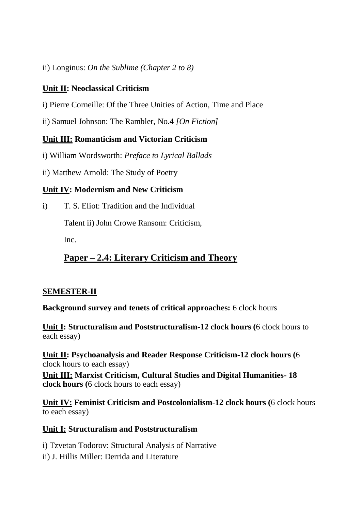ii) Longinus: *On the Sublime (Chapter 2 to 8)*

## **Unit II: Neoclassical Criticism**

- i) Pierre Corneille: Of the Three Unities of Action, Time and Place
- ii) Samuel Johnson: The Rambler, No.4 *[On Fiction]*

### **Unit III: Romanticism and Victorian Criticism**

- i) William Wordsworth: *Preface to Lyrical Ballads*
- ii) Matthew Arnold: The Study of Poetry

### **Unit IV: Modernism and New Criticism**

i) T. S. Eliot: Tradition and the Individual

Talent ii) John Crowe Ransom: Criticism,

Inc.

# **Paper – 2.4: Literary Criticism and Theory**

### **SEMESTER-II**

**Background survey and tenets of critical approaches:** 6 clock hours

**Unit I: Structuralism and Poststructuralism-12 clock hours (**6 clock hours to each essay)

**Unit II: Psychoanalysis and Reader Response Criticism-12 clock hours (**6 clock hours to each essay)

**Unit III: Marxist Criticism, Cultural Studies and Digital Humanities- 18 clock hours (**6 clock hours to each essay)

**Unit IV: Feminist Criticism and Postcolonialism-12 clock hours (**6 clock hours to each essay)

### **Unit I: Structuralism and Poststructuralism**

- i) Tzvetan Todorov: Structural Analysis of Narrative
- ii) J. Hillis Miller: Derrida and Literature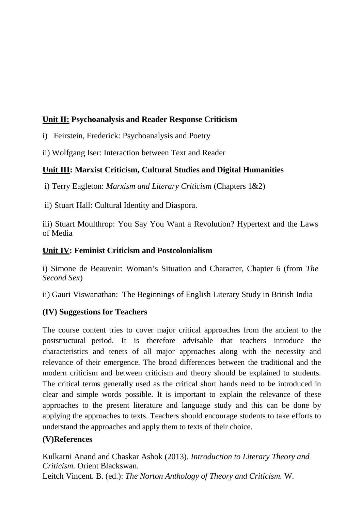### **Unit II: Psychoanalysis and Reader Response Criticism**

- i) Feirstein, Frederick: Psychoanalysis and Poetry
- ii) Wolfgang Iser: Interaction between Text and Reader

### **Unit III: Marxist Criticism, Cultural Studies and Digital Humanities**

i) Terry Eagleton: *Marxism and Literary Criticism* (Chapters 1&2)

ii) Stuart Hall: Cultural Identity and Diaspora.

iii) Stuart Moulthrop: You Say You Want a Revolution? Hypertext and the Laws of Media

#### **Unit IV: Feminist Criticism and Postcolonialism**

i) Simone de Beauvoir: Woman's Situation and Character, Chapter 6 (from *The Second Sex*)

ii) Gauri Viswanathan: The Beginnings of English Literary Study in British India

### **(IV) Suggestions for Teachers**

The course content tries to cover major critical approaches from the ancient to the poststructural period. It is therefore advisable that teachers introduce the characteristics and tenets of all major approaches along with the necessity and relevance of their emergence. The broad differences between the traditional and the modern criticism and between criticism and theory should be explained to students. The critical terms generally used as the critical short hands need to be introduced in clear and simple words possible. It is important to explain the relevance of these approaches to the present literature and language study and this can be done by applying the approaches to texts. Teachers should encourage students to take efforts to understand the approaches and apply them to texts of their choice.

### **(V)References**

Kulkarni Anand and Chaskar Ashok (2013). *Introduction to Literary Theory and Criticism.* Orient Blackswan. Leitch Vincent. B. (ed.): *The Norton Anthology of Theory and Criticism.* W.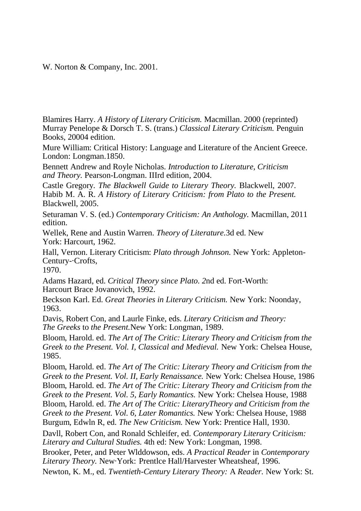W. Norton & Company, Inc. 2001.

Blamires Harry. *A History of Literary Criticism.* Macmillan. 2000 (reprinted) Murray Penelope & Dorsch T. S. (trans.) *Classical Literary Criticism.* Penguin Books, 20004 edition.

Mure William: Critical History: Language and Literature of the Ancient Greece. London: Longman.1850.

Bennett Andrew and Royle Nicholas. *Introduction to Literature, Criticism and Theory.* Pearson-Longman. IIIrd edition, 2004.

Castle Gregory*. The Blackwell Guide to Literary Theory.* Blackwell, 2007. Habib M. A. R. *A History of Literary Criticism: from Plato to the Present.*  Blackwell, 2005.

Seturaman V. S. (ed.) *Contemporary Criticism: An Anthology.* Macmillan, 2011 edition.

Wellek, Rene and Austin Warren. *Theory of Literature.*3d ed. New York: Harcourt, 1962.

Hall, Vernon. Literary Criticism: *Plato through Johnson.* New York: Appleton-Century-·Crofts,

1970.

Adams Hazard, ed. *Critical Theory since Plato. 2*nd ed. Fort-Worth: Harcourt Brace Jovanovich, 1992.

Beckson Karl. Ed. *Great Theories in Literary Criticism.* New York: Noonday, 1963.

Davis, Robert Con, and Laurle Finke, eds. *Literary Criticism and Theory: The Greeks* to *the Present.*New York: Longman, 1989.

Bloom, Harold. ed. *The Art of The Critic: Literary Theory and Criticism from the Greek to the Present. Vol. I. Classical and Medieval. New York: Chelsea House.* 1985.

Bloom, Harold. ed. *The Art of The Critic: Literary Theory and Criticism from the Greek to the Present. Vol. II, Early Renaissance.* New York: Chelsea House, 1986 Bloom, Harold. ed. *The Art of The Critic: Literary Theory and Criticism from the Greek to the Present. Vol. 5, Early Romantics.* New York: Chelsea House, 1988 Bloom, Harold. ed. *The Art of The Critic: LiteraryTheory and Criticism from the Greek to the Present. Vol. 6, Later Romantics.* New York: Chelsea House, 1988 Burgum, Edwln R, ed. *The New Criticism.* New York: Prentice Hall, 1930.

Davll, Robert Con, and Ronald Schleifer, ed. *Contemporary Literary* C*riticism: Literary and Cultural Studies.* 4th ed: New York: Longman, 1998.

Brooker, Peter, and Peter Wlddowson, eds. *A Practical Reader* in *Contemporary Literary Theory.* New·York: Prentlce Hall/Harvester Wheatsheaf, 1996.

Newton, K. M., ed. *Twentieth-Century Literary Theory:* A *Reader.* New York: St.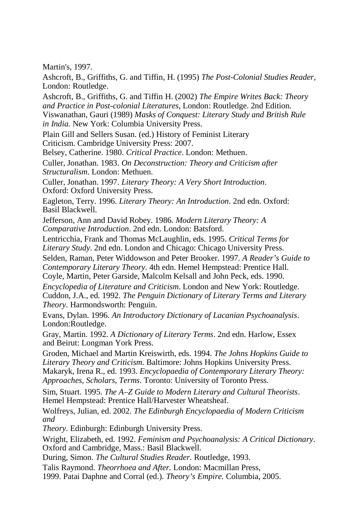Martin's, 1997.

Ashcroft, B., Griffiths, G. and Tiffin, H. (1995) *The Post-Colonial Studies Reader,* London: Routledge.

Ashcroft, B., Griffiths, G. and Tiffin H. (2002) *The Empire Writes Back: Theory and Practice in Post-colonial Literatures,* London: Routledge. 2nd Edition. Viswanathan, Gauri (1989) *Masks of Conquest: Literary Study and British Rule in India.* New York: Columbia University Press.

Plain Gill and Sellers Susan. (ed.) History of Feminist Literary Criticism. Cambridge University Press: 2007.

Belsey, Catherine. 1980. *Critical Practice*. London: Methuen.

Culler, Jonathan. 1983. *On Deconstruction: Theory and Criticism after Structuralism*. London: Methuen.

Culler, Jonathan. 1997. *Literary Theory: A Very Short Introduction*. Oxford: Oxford University Press.

Eagleton, Terry. 1996. *Literary Theory: An Introduction*. 2nd edn. Oxford: Basil Blackwell.

Jefferson, Ann and David Robey. 1986. *Modern Literary Theory: A Comparative Introduction*. 2nd edn. London: Batsford.

Lentricchia, Frank and Thomas McLaughlin, eds. 1995. *Critical Terms for Literary Study*. 2nd edn. London and Chicago: Chicago University Press.

Selden, Raman, Peter Widdowson and Peter Brooker. 1997. *A Reader's Guide to Contemporary Literary Theory*. 4th edn. Hemel Hempstead: Prentice Hall. Coyle, Martin, Peter Garside, Malcolm Kelsall and John Peck, eds. 1990.

*Encyclopedia of Literature and Criticism*. London and New York: Routledge. Cuddon, J.A., ed. 1992. *The Penguin Dictionary of Literary Terms and Literary Theory*. Harmondsworth: Penguin.

Evans, Dylan. 1996. *An Introductory Dictionary of Lacanian Psychoanalysis*. London:Routledge.

Gray, Martin. 1992. *A Dictionary of Literary Terms*. 2nd edn. Harlow, Essex and Beirut: Longman York Press.

Groden, Michael and Martin Kreiswirth, eds. 1994. *The Johns Hopkins Guide to Literary Theory and Criticism*. Baltimore: Johns Hopkins University Press. Makaryk, Irena R., ed. 1993. *Encyclopaedia of Contemporary Literary Theory: Approaches, Scholars, Terms*. Toronto: University of Toronto Press.

Sim, Stuart. 1995. *The A–Z Guide to Modern Literary and Cultural Theorists*. Hemel Hempstead: Prentice Hall/Harvester Wheatsheaf.

Wolfreys, Julian, ed. 2002. *The Edinburgh Encyclopaedia of Modern Criticism and*

*Theory*. Edinburgh: Edinburgh University Press.

Wright, Elizabeth, ed. 1992. *Feminism and Psychoanalysis: A Critical Dictionary*. Oxford and Cambridge, Mass.: Basil Blackwell.

During, Simon. *The Cultural Studies Reader.* Routledge, 1993.

Talis Raymond. *Theorrhoea and After.* London: Macmillan Press,

1999. Patai Daphne and Corral (ed.). *Theory's Empire.* Columbia, 2005.